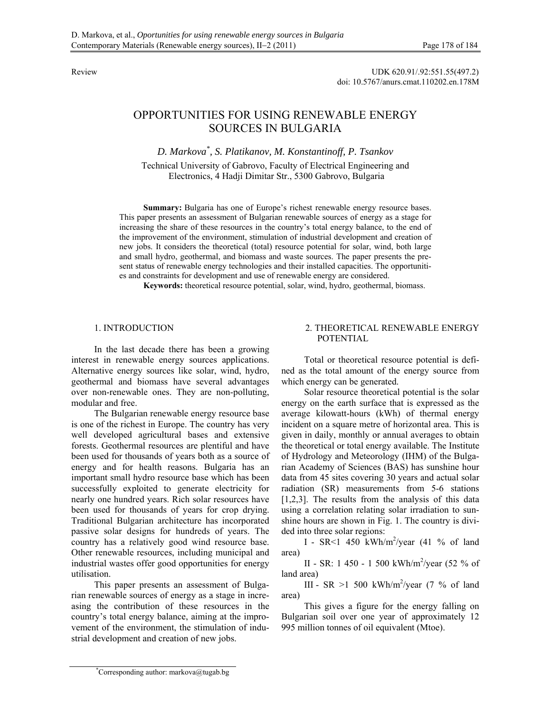Review UDK 620.91/.92:551.55(497.2) doi: 10.5767/anurs.cmat.110202.en.178M

# OPPORTUNITIES FOR USING RENEWABLE ENERGY SOURCES IN BULGARIA

*D. Markova\* , S. Platikanov, M. Konstantinoff, P. Tsankov*  Technical University of Gabrovo, Faculty of Electrical Engineering and Electronics, 4 Hadji Dimitar Str., 5300 Gabrovo, Bulgaria

Summary: Bulgaria has one of Europe's richest renewable energy resource bases. This paper presents an assessment of Bulgarian renewable sources of energy as a stage for increasing the share of these resources in the country's total energy balance, to the end of the improvement of the environment, stimulation of industrial development and creation of new jobs. It considers the theoretical (total) resource potential for solar, wind, both large and small hydro, geothermal, and biomass and waste sources. The paper presents the present status of renewable energy technologies and their installed capacities. The opportunities and constraints for development and use of renewable energy are considered.

**Keywords:** theoretical resource potential, solar, wind, hydro, geothermal, biomass.

# 1. INTRODUCTION

In the last decade there has been a growing interest in renewable energy sources applications. Alternative energy sources like solar, wind, hydro, geothermal and biomass have several advantages over non-renewable ones. They are non-polluting, modular and free.

The Bulgarian renewable energy resource base is one of the richest in Europe. The country has very well developed agricultural bases and extensive forests. Geothermal resources are plentiful and have been used for thousands of years both as a source of energy and for health reasons. Bulgaria has an important small hydro resource base which has been successfully exploited to generate electricity for nearly one hundred years. Rich solar resources have been used for thousands of years for crop drying. Traditional Bulgarian architecture has incorporated passive solar designs for hundreds of years. The country has a relatively good wind resource base. Other renewable resources, including municipal and industrial wastes offer good opportunities for energy utilisation.

This paper presents an assessment of Bulgarian renewable sources of energy as a stage in increasing the contribution of these resources in the country's total energy balance, aiming at the improvement of the environment, the stimulation of industrial development and creation of new jobs.

# 2. THEORETICAL RENEWABLE ENERGY POTENTIAL

Total or theoretical resource potential is defined as the total amount of the energy source from which energy can be generated.

Solar resource theoretical potential is the solar energy on the earth surface that is expressed as the average kilowatt-hours (kWh) of thermal energy incident on a square metre of horizontal area. This is given in daily, monthly or annual averages to obtain the theoretical or total energy available. The Institute of Hydrology and Meteorology (IHM) of the Bulgarian Academy of Sciences (BAS) has sunshine hour data from 45 sites covering 30 years and actual solar radiation (SR) measurements from 5-6 stations [1,2,3]. The results from the analysis of this data using a correlation relating solar irradiation to sunshine hours are shown in Fig. 1. The country is divided into three solar regions:

I - SR<1 450 kWh/m2 /year (41 % of land area)

II - SR: 1 450 - 1 500 kWh/m2 /year (52 % of land area)

III - SR  $>1$  500 kWh/m<sup>2</sup>/year (7 % of land area)

This gives a figure for the energy falling on Bulgarian soil over one year of approximately 12 995 million tonnes of oil equivalent (Mtoe).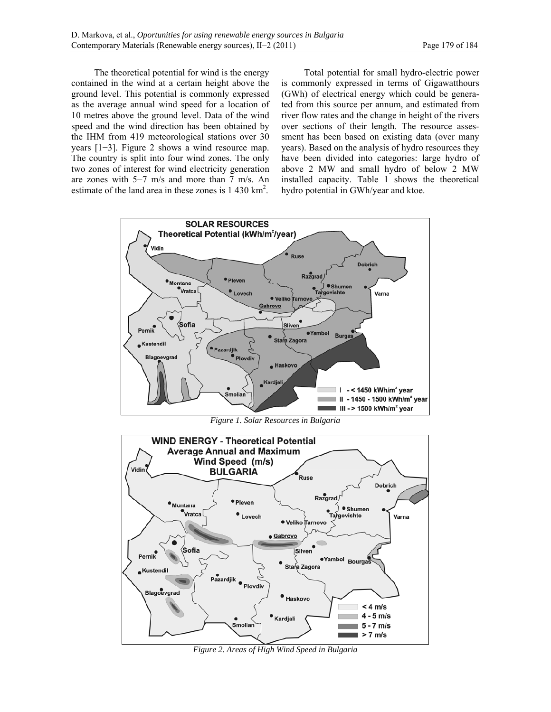The theoretical potential for wind is the energy contained in the wind at a certain height above the ground level. This potential is commonly expressed as the average annual wind speed for a location of 10 metres above the ground level. Data of the wind speed and the wind direction has been obtained by the IHM from 419 meteorological stations over 30 years [1−3]. Figure 2 shows a wind resource map. The country is split into four wind zones. The only two zones of interest for wind electricity generation are zones with 5−7 m/s and more than 7 m/s. An estimate of the land area in these zones is  $1\,430\,\mathrm{km}^2$ .

Total potential for small hydro-electric power is commonly expressed in terms of Gigawatthours (GWh) of electrical energy which could be generated from this source per annum, and estimated from river flow rates and the change in height of the rivers over sections of their length. The resource assessment has been based on existing data (over many years). Based on the analysis of hydro resources they have been divided into categories: large hydro of above 2 MW and small hydro of below 2 MW installed capacity. Table 1 shows the theoretical hydro potential in GWh/year and ktoe.



*Figure 1. Solar Resources in Bulgaria* 



*Figure 2. Areas of High Wind Speed in Bulgaria*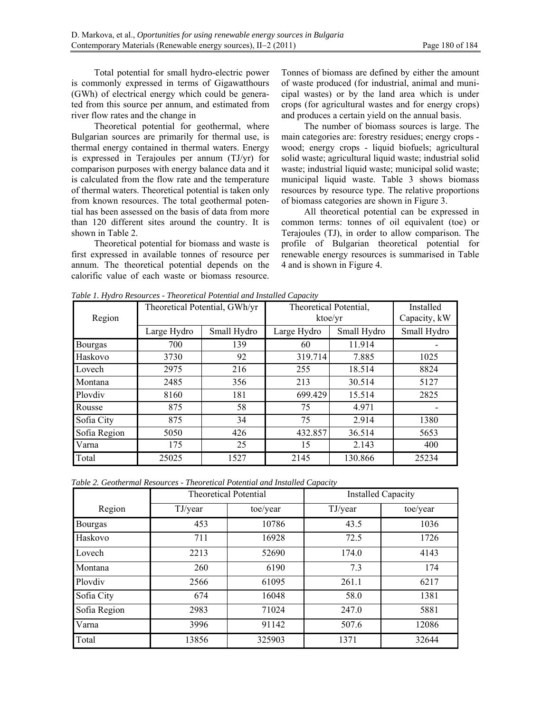Total potential for small hydro-electric power is commonly expressed in terms of Gigawatthours (GWh) of electrical energy which could be generated from this source per annum, and estimated from river flow rates and the change in

Theoretical potential for geothermal, where Bulgarian sources are primarily for thermal use, is thermal energy contained in thermal waters. Energy is expressed in Terajoules per annum (TJ/yr) for comparison purposes with energy balance data and it is calculated from the flow rate and the temperature of thermal waters. Theoretical potential is taken only from known resources. The total geothermal potential has been assessed on the basis of data from more than 120 different sites around the country. It is shown in Table 2.

Theoretical potential for biomass and waste is first expressed in available tonnes of resource per annum. The theoretical potential depends on the calorific value of each waste or biomass resource. Tonnes of biomass are defined by either the amount of waste produced (for industrial, animal and municipal wastes) or by the land area which is under crops (for agricultural wastes and for energy crops) and produces a certain yield on the annual basis.

The number of biomass sources is large. The main categories are: forestry residues; energy crops wood; energy crops - liquid biofuels; agricultural solid waste; agricultural liquid waste; industrial solid waste; industrial liquid waste; municipal solid waste; municipal liquid waste. Table 3 shows biomass resources by resource type. The relative proportions of biomass categories are shown in Figure 3.

All theoretical potential can be expressed in common terms: tonnes of oil equivalent (toe) or Terajoules (TJ), in order to allow comparison. The profile of Bulgarian theoretical potential for renewable energy resources is summarised in Table 4 and is shown in Figure 4.

| Region         | Theoretical Potential, GWh/yr |             | Theoretical Potential,<br>ktoe/yr |             | Installed<br>Capacity, kW |
|----------------|-------------------------------|-------------|-----------------------------------|-------------|---------------------------|
|                | Large Hydro                   | Small Hydro | Large Hydro                       | Small Hydro | Small Hydro               |
| <b>Bourgas</b> | 700                           | 139         | 60                                | 11.914      |                           |
| Haskovo        | 3730                          | 92          | 319.714                           | 7.885       | 1025                      |
| Lovech         | 2975                          | 216         | 255                               | 18.514      | 8824                      |
| Montana        | 2485                          | 356         | 213                               | 30.514      | 5127                      |
| Ploydiv        | 8160                          | 181         | 699.429                           | 15.514      | 2825                      |
| Rousse         | 875                           | 58          | 75                                | 4.971       |                           |
| Sofia City     | 875                           | 34          | 75                                | 2.914       | 1380                      |
| Sofia Region   | 5050                          | 426         | 432.857                           | 36.514      | 5653                      |
| Varna          | 175                           | 25          | 15                                | 2.143       | 400                       |
| Total          | 25025                         | 1527        | 2145                              | 130.866     | 25234                     |

*Table 1. Hydro Resources - Theoretical Potential and Installed Capacity* 

*Table 2. Geothermal Resources - Theoretical Potential and Installed Capacity* 

|              | <b>Theoretical Potential</b> |          | <b>Installed Capacity</b> |          |
|--------------|------------------------------|----------|---------------------------|----------|
| Region       | TJ/year                      | toe/year | TJ/year                   | toe/year |
| Bourgas      | 453                          | 10786    | 43.5                      | 1036     |
| Haskovo      | 711                          | 16928    | 72.5                      | 1726     |
| Lovech       | 2213                         | 52690    | 174.0                     | 4143     |
| Montana      | 260                          | 6190     | 7.3                       | 174      |
| Ploydiy      | 2566                         | 61095    | 261.1                     | 6217     |
| Sofia City   | 674                          | 16048    | 58.0                      | 1381     |
| Sofia Region | 2983                         | 71024    | 247.0                     | 5881     |
| Varna        | 3996                         | 91142    | 507.6                     | 12086    |
| Total        | 13856                        | 325903   | 1371                      | 32644    |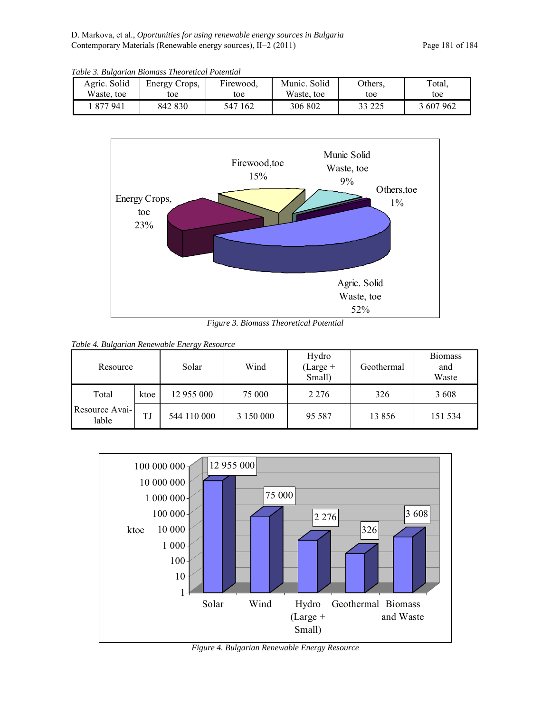| Table 3. Bulgarian Biomass Theoretical Potential |               |           |              |         |           |
|--------------------------------------------------|---------------|-----------|--------------|---------|-----------|
| Agric. Solid                                     | Energy Crops, | Firewood, | Munic. Solid | Others. | Total.    |
| Waste, toe                                       | toe           | toe       | Waste, toe   | toe     | toe       |
| 1 877 941                                        | 842 830       | 547 162   | 306 802      | 33 225  | 3 607 962 |



*Figure 3. Biomass Theoretical Potential* 

|  | Table 4. Bulgarian Renewable Energy Resource |  |
|--|----------------------------------------------|--|
|  |                                              |  |

| $\mathbf{\mathcal{L}}$<br>Resource |      | Solar       | Wind      | Hydro<br>$(Large +$<br>Small) | Geothermal | <b>Biomass</b><br>and<br>Waste |
|------------------------------------|------|-------------|-----------|-------------------------------|------------|--------------------------------|
| Total                              | ktoe | 12 955 000  | 75 000    | 2 2 7 6                       | 326        | 3608                           |
| Resource Avai-<br>lable            | TJ   | 544 110 000 | 3 150 000 | 95 5 87                       | 13 856     | 151 534                        |



*Figure 4. Bulgarian Renewable Energy Resource*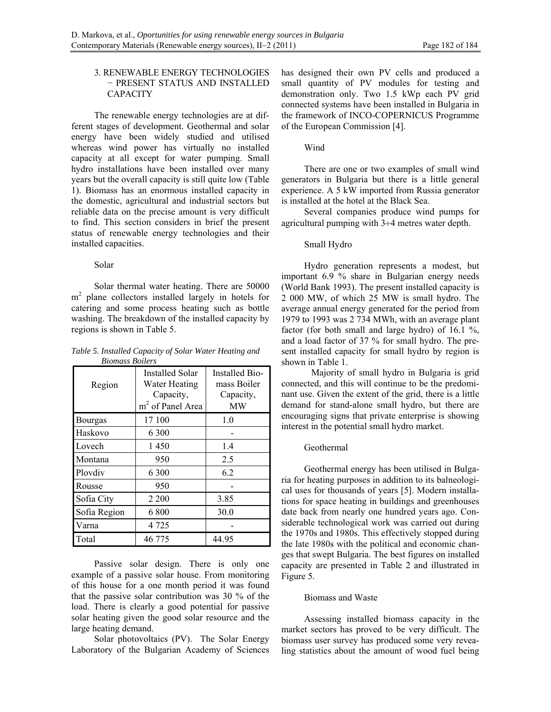# 3. RENEWABLE ENERGY TECHNOLOGIES − PRESENT STATUS AND INSTALLED **CAPACITY**

The renewable energy technologies are at different stages of development. Geothermal and solar energy have been widely studied and utilised whereas wind power has virtually no installed capacity at all except for water pumping. Small hydro installations have been installed over many years but the overall capacity is still quite low (Table 1). Biomass has an enormous installed capacity in the domestic, agricultural and industrial sectors but reliable data on the precise amount is very difficult to find. This section considers in brief the present status of renewable energy technologies and their installed capacities.

## Solar

Solar thermal water heating. There are 50000 m<sup>2</sup> plane collectors installed largely in hotels for catering and some process heating such as bottle washing. The breakdown of the installed capacity by regions is shown in Table 5.

*Table 5. Installed Capacity of Solar Water Heating and Biomass Boilers* 

| рилнизу рошету<br>Region | <b>Installed Solar</b><br>Water Heating<br>Capacity,<br>$m2$ of Panel Area | <b>Installed Bio-</b><br>mass Boiler<br>Capacity,<br><b>MW</b> |  |
|--------------------------|----------------------------------------------------------------------------|----------------------------------------------------------------|--|
| Bourgas                  | 17 100                                                                     | 1.0                                                            |  |
| Haskovo                  | 6 300                                                                      |                                                                |  |
| Lovech                   | 1450                                                                       | 1.4                                                            |  |
| Montana                  | 950                                                                        | 2.5                                                            |  |
| Plovdiv                  | 6 300                                                                      | 6.2                                                            |  |
| Rousse                   | 950                                                                        |                                                                |  |
| Sofia City               | 2 2 0 0                                                                    | 3.85                                                           |  |
| Sofia Region             | 6 800                                                                      | 30.0                                                           |  |
| Varna                    | 4 7 2 5                                                                    |                                                                |  |
| Total                    | 46 775                                                                     | 44.95                                                          |  |

Passive solar design. There is only one example of a passive solar house. From monitoring of this house for a one month period it was found that the passive solar contribution was 30 % of the load. There is clearly a good potential for passive solar heating given the good solar resource and the large heating demand.

Solar photovoltaics (PV). The Solar Energy Laboratory of the Bulgarian Academy of Sciences has designed their own PV cells and produced a small quantity of PV modules for testing and demonstration only. Two 1.5 kWp each PV grid connected systems have been installed in Bulgaria in the framework of INCO-COPERNICUS Programme of the European Commission [4].

# Wind

There are one or two examples of small wind generators in Bulgaria but there is a little general experience. A 5 kW imported from Russia generator is installed at the hotel at the Black Sea.

Several companies produce wind pumps for agricultural pumping with  $3\div 4$  metres water depth.

## Small Hydro

Hydro generation represents a modest, but important 6.9 % share in Bulgarian energy needs (World Bank 1993). The present installed capacity is 2 000 MW, of which 25 MW is small hydro. The average annual energy generated for the period from 1979 to 1993 was 2 734 MWh, with an average plant factor (for both small and large hydro) of 16.1 %, and a load factor of 37 % for small hydro. The present installed capacity for small hydro by region is shown in Table 1.

 Majority of small hydro in Bulgaria is grid connected, and this will continue to be the predominant use. Given the extent of the grid, there is a little demand for stand-alone small hydro, but there are encouraging signs that private enterprise is showing interest in the potential small hydro market.

## Geothermal

Geothermal energy has been utilised in Bulgaria for heating purposes in addition to its balneological uses for thousands of years [5]. Modern installations for space heating in buildings and greenhouses date back from nearly one hundred years ago. Considerable technological work was carried out during the 1970s and 1980s. This effectively stopped during the late 1980s with the political and economic changes that swept Bulgaria. The best figures on installed capacity are presented in Table 2 and illustrated in Figure 5.

## Biomass and Waste

Assessing installed biomass capacity in the market sectors has proved to be very difficult. The biomass user survey has produced some very revealing statistics about the amount of wood fuel being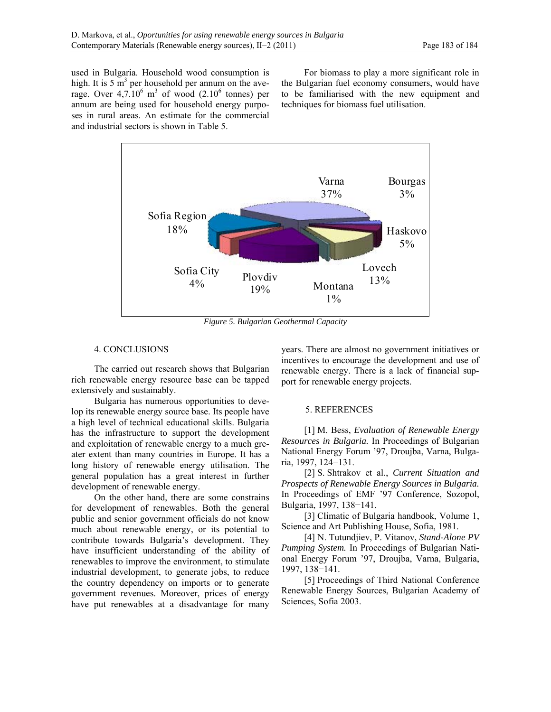used in Bulgaria. Household wood consumption is high. It is  $5 \text{ m}^3$  per household per annum on the average. Over  $4,7.10^6$  m<sup>3</sup> of wood  $(2.10^6$  tonnes) per annum are being used for household energy purposes in rural areas. An estimate for the commercial and industrial sectors is shown in Table 5.

For biomass to play a more significant role in the Bulgarian fuel economy consumers, would have to be familiarised with the new equipment and techniques for biomass fuel utilisation.



*Figure 5. Bulgarian Geothermal Capacity* 

## 4. CONCLUSIONS

The carried out research shows that Bulgarian rich renewable energy resource base can be tapped extensively and sustainably.

Bulgaria has numerous opportunities to develop its renewable energy source base. Its people have a high level of technical educational skills. Bulgaria has the infrastructure to support the development and exploitation of renewable energy to a much greater extent than many countries in Europe. It has a long history of renewable energy utilisation. The general population has a great interest in further development of renewable energy.

On the other hand, there are some constrains for development of renewables. Both the general public and senior government officials do not know much about renewable energy, or its potential to contribute towards Bulgaria's development. They have insufficient understanding of the ability of renewables to improve the environment, to stimulate industrial development, to generate jobs, to reduce the country dependency on imports or to generate government revenues. Moreover, prices of energy have put renewables at a disadvantage for many years. There are almost no government initiatives or incentives to encourage the development and use of renewable energy. There is a lack of financial support for renewable energy projects.

#### 5. REFERENCES

[1] M. Bess, *Evaluation of Renewable Energy Resources in Bulgaria.* In Proceedings of Bulgarian National Energy Forum '97, Droujba, Varna, Bulgaria, 1997, 124−131.

[2] S. Shtrakov et al., *Current Situation and Prospects of Renewable Energy Sources in Bulgaria.* In Proceedings of EMF '97 Conference, Sozopol, Bulgaria, 1997, 138−141.

[3] Climatic of Bulgaria handbook, Volume 1, Science and Art Publishing House, Sofia, 1981.

[4] N. Tutundjiev, P. Vitanov, *Stand-Alone PV Pumping System.* In Proceedings of Bulgarian National Energy Forum '97, Droujba, Varna, Bulgaria, 1997, 138−141.

[5] Proceedings of Third National Conference Renewable Energy Sources, Bulgarian Academy of Sciences, Sofia 2003.